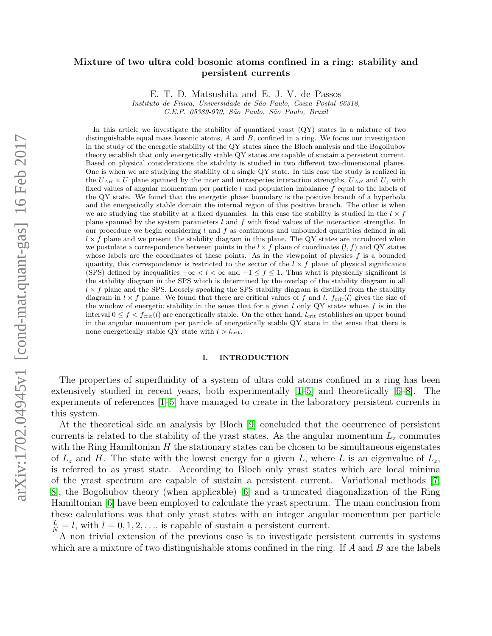# arXiv:1702.04945v1 [cond-mat.quant-gas] 16 Feb 2017 arXiv:1702.04945v1 [cond-mat.quant-gas] 16 Feb 2017

# Mixture of two ultra cold bosonic atoms confined in a ring: stability and persistent currents

E. T. D. Matsushita and E. J. V. de Passos

Instituto de Física, Universidade de São Paulo, Caixa Postal 66318,

C.E.P. 05389-970, S˜ao Paulo, S˜ao Paulo, Brazil

In this article we investigate the stability of quantized yrast (QY) states in a mixture of two distinguishable equal mass bosonic atoms,  $A$  and  $B$ , confined in a ring. We focus our investigation in the study of the energetic stability of the QY states since the Bloch analysis and the Bogoliubov theory establish that only energetically stable QY states are capable of sustain a persistent current. Based on physical considerations the stability is studied in two different two-dimensional planes. One is when we are studying the stability of a single QY state. In this case the study is realized in the  $U_{AB} \times U$  plane spanned by the inter and intraspecies interaction strengths,  $U_{AB}$  and U, with fixed values of angular momentum per particle  $l$  and population imbalance  $f$  equal to the labels of the QY state. We found that the energetic phase boundary is the positive branch of a hyperbola and the energetically stable domain the internal region of this positive branch. The other is when we are studying the stability at a fixed dynamics. In this case the stability is studied in the  $l \times f$ plane spanned by the system parameters l and f with fixed values of the interaction strengths. In our procedure we begin considering  $l$  and  $f$  as continuous and unbounded quantities defined in all  $l \times f$  plane and we present the stability diagram in this plane. The QY states are introduced when we postulate a correspondence between points in the  $l \times f$  plane of coordinates  $(l, f)$  and QY states whose labels are the coordinates of these points. As in the viewpoint of physics  $f$  is a bounded quantity, this correspondence is restricted to the sector of the  $l \times f$  plane of physical significance (SPS) defined by inequalities  $-\infty < l < \infty$  and  $-1 \leq f \leq 1$ . Thus what is physically significant is the stability diagram in the SPS which is determined by the overlap of the stability diagram in all  $l \times f$  plane and the SPS. Loosely speaking the SPS stability diagram is distilled from the stability diagram in  $l \times f$  plane. We found that there are critical values of f and l. f<sub>crit</sub>(l) gives the size of the window of energetic stability in the sense that for a given  $l$  only QY states whose  $f$  is in the interval  $0 \le f \le f_{\text{crit}}(l)$  are energetically stable. On the other hand,  $l_{\text{crit}}$  establishes an upper bound in the angular momentum per particle of energetically stable QY state in the sense that there is none energetically stable QY state with  $l > l_{\text{crit}}$ .

# I. INTRODUCTION

The properties of superfluidity of a system of ultra cold atoms confined in a ring has been extensively studied in recent years, both experimentally [\[1–](#page-15-0)[5\]](#page-15-1) and theoretically [\[6–](#page-15-2)[8\]](#page-15-3). The experiments of references [\[1](#page-15-0)[–5\]](#page-15-1) have managed to create in the laboratory persistent currents in this system.

At the theoretical side an analysis by Bloch [\[9\]](#page-15-4) concluded that the occurrence of persistent currents is related to the stability of the yrast states. As the angular momentum  $L<sub>z</sub>$  commutes with the Ring Hamiltonian  $H$  the stationary states can be chosen to be simultaneous eigenstates of  $L_z$  and H. The state with the lowest energy for a given L, where L is an eigenvalue of  $L_z$ , is referred to as yrast state. According to Bloch only yrast states which are local minima of the yrast spectrum are capable of sustain a persistent current. Variational methods [\[7,](#page-15-5) [8\]](#page-15-3), the Bogoliubov theory (when applicable) [\[6\]](#page-15-2) and a truncated diagonalization of the Ring Hamiltonian [\[6\]](#page-15-2) have been employed to calculate the yrast spectrum. The main conclusion from these calculations was that only yrast states with an integer angular momentum per particle  $\frac{L}{N} = l$ , with  $l = 0, 1, 2, \ldots$ , is capable of sustain a persistent current.

A non trivial extension of the previous case is to investigate persistent currents in systems which are a mixture of two distinguishable atoms confined in the ring. If  $A$  and  $B$  are the labels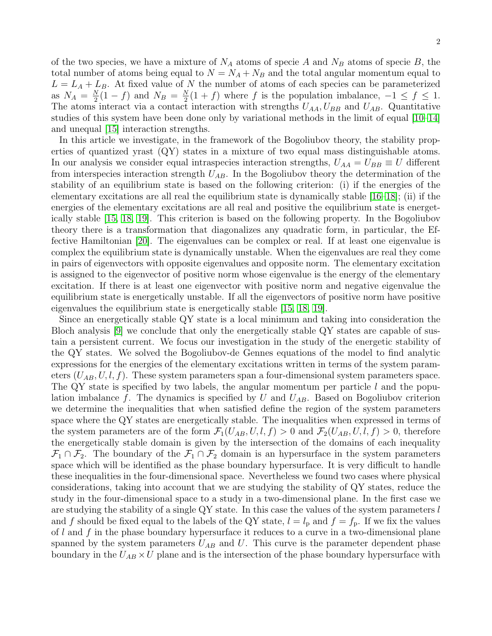of the two species, we have a mixture of  $N_A$  atoms of specie A and  $N_B$  atoms of specie B, the total number of atoms being equal to  $N = N_A + N_B$  and the total angular momentum equal to  $L = L_A + L_B$ . At fixed value of N the number of atoms of each species can be parameterized as  $N_A = \frac{N}{2}$  $\frac{N}{2}(1-f)$  and  $N_B = \frac{N}{2}$  $\frac{N}{2}(1+f)$  where f is the population imbalance,  $-1 \leq f \leq 1$ . The atoms interact via a contact interaction with strengths  $U_{AA}$ ,  $U_{BB}$  and  $U_{AB}$ . Quantitative studies of this system have been done only by variational methods in the limit of equal [\[10](#page-15-6)[–14\]](#page-15-7) and unequal [\[15\]](#page-15-8) interaction strengths.

In this article we investigate, in the framework of the Bogoliubov theory, the stability properties of quantized yrast (QY) states in a mixture of two equal mass distinguishable atoms. In our analysis we consider equal intraspecies interaction strengths,  $U_{AA} = U_{BB} \equiv U$  different from interspecies interaction strength  $U_{AB}$ . In the Bogoliubov theory the determination of the stability of an equilibrium state is based on the following criterion: (i) if the energies of the elementary excitations are all real the equilibrium state is dynamically stable [\[16–](#page-15-9)[18\]](#page-15-10); (ii) if the energies of the elementary excitations are all real and positive the equilibrium state is energetically stable [\[15,](#page-15-8) [18,](#page-15-10) [19\]](#page-15-11). This criterion is based on the following property. In the Bogoliubov theory there is a transformation that diagonalizes any quadratic form, in particular, the Effective Hamiltonian [\[20\]](#page-15-12). The eigenvalues can be complex or real. If at least one eigenvalue is complex the equilibrium state is dynamically unstable. When the eigenvalues are real they come in pairs of eigenvectors with opposite eigenvalues and opposite norm. The elementary excitation is assigned to the eigenvector of positive norm whose eigenvalue is the energy of the elementary excitation. If there is at least one eigenvector with positive norm and negative eigenvalue the equilibrium state is energetically unstable. If all the eigenvectors of positive norm have positive eigenvalues the equilibrium state is energetically stable [\[15,](#page-15-8) [18,](#page-15-10) [19\]](#page-15-11).

Since an energetically stable QY state is a local minimum and taking into consideration the Bloch analysis [\[9\]](#page-15-4) we conclude that only the energetically stable QY states are capable of sustain a persistent current. We focus our investigation in the study of the energetic stability of the QY states. We solved the Bogoliubov-de Gennes equations of the model to find analytic expressions for the energies of the elementary excitations written in terms of the system parameters  $(U_{AB}, U, l, f)$ . These system parameters span a four-dimensional system parameters space. The QY state is specified by two labels, the angular momentum per particle  $l$  and the population imbalance f. The dynamics is specified by U and  $U_{AB}$ . Based on Bogoliubov criterion we determine the inequalities that when satisfied define the region of the system parameters space where the QY states are energetically stable. The inequalities when expressed in terms of the system parameters are of the form  $\mathcal{F}_1(U_{AB}, U, l, f) > 0$  and  $\mathcal{F}_2(U_{AB}, U, l, f) > 0$ , therefore the energetically stable domain is given by the intersection of the domains of each inequality  $\mathcal{F}_1 \cap \mathcal{F}_2$ . The boundary of the  $\mathcal{F}_1 \cap \mathcal{F}_2$  domain is an hypersurface in the system parameters space which will be identified as the phase boundary hypersurface. It is very difficult to handle these inequalities in the four-dimensional space. Nevertheless we found two cases where physical considerations, taking into account that we are studying the stability of QY states, reduce the study in the four-dimensional space to a study in a two-dimensional plane. In the first case we are studying the stability of a single  $\mathbb{Q}Y$  state. In this case the values of the system parameters l and f should be fixed equal to the labels of the QY state,  $l = l_p$  and  $f = f_p$ . If we fix the values of  $l$  and  $f$  in the phase boundary hypersurface it reduces to a curve in a two-dimensional plane spanned by the system parameters  $U_{AB}$  and U. This curve is the parameter dependent phase boundary in the  $U_{AB} \times U$  plane and is the intersection of the phase boundary hypersurface with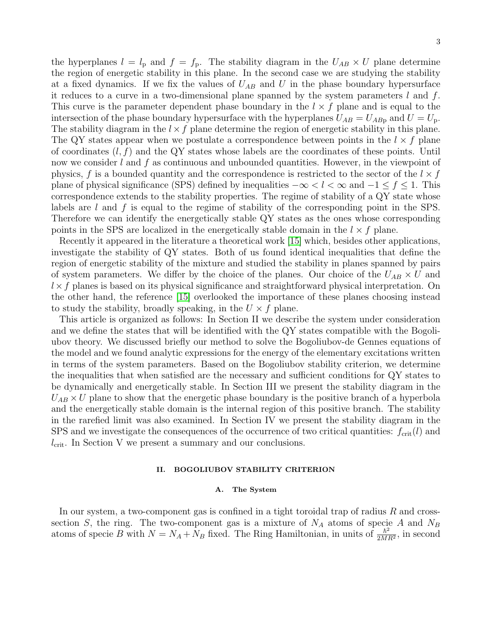the hyperplanes  $l = l_{\rm p}$  and  $f = f_{\rm p}$ . The stability diagram in the  $U_{AB} \times U$  plane determine the region of energetic stability in this plane. In the second case we are studying the stability at a fixed dynamics. If we fix the values of  $U_{AB}$  and U in the phase boundary hypersurface it reduces to a curve in a two-dimensional plane spanned by the system parameters  $l$  and  $f$ . This curve is the parameter dependent phase boundary in the  $l \times f$  plane and is equal to the intersection of the phase boundary hypersurface with the hyperplanes  $U_{AB} = U_{ABp}$  and  $U = U_p$ . The stability diagram in the  $l \times f$  plane determine the region of energetic stability in this plane. The QY states appear when we postulate a correspondence between points in the  $l \times f$  plane of coordinates  $(l, f)$  and the QY states whose labels are the coordinates of these points. Until now we consider  $l$  and  $f$  as continuous and unbounded quantities. However, in the viewpoint of physics, f is a bounded quantity and the correspondence is restricted to the sector of the  $l \times f$ plane of physical significance (SPS) defined by inequalities  $-\infty < l < \infty$  and  $-1 \le f \le 1$ . This correspondence extends to the stability properties. The regime of stability of a QY state whose labels are l and f is equal to the regime of stability of the corresponding point in the SPS. Therefore we can identify the energetically stable QY states as the ones whose corresponding points in the SPS are localized in the energetically stable domain in the  $l \times f$  plane.

Recently it appeared in the literature a theoretical work [\[15\]](#page-15-8) which, besides other applications, investigate the stability of QY states. Both of us found identical inequalities that define the region of energetic stability of the mixture and studied the stability in planes spanned by pairs of system parameters. We differ by the choice of the planes. Our choice of the  $U_{AB} \times U$  and  $l \times f$  planes is based on its physical significance and straightforward physical interpretation. On the other hand, the reference [\[15\]](#page-15-8) overlooked the importance of these planes choosing instead to study the stability, broadly speaking, in the  $U \times f$  plane.

This article is organized as follows: In Section II we describe the system under consideration and we define the states that will be identified with the QY states compatible with the Bogoliubov theory. We discussed briefly our method to solve the Bogoliubov-de Gennes equations of the model and we found analytic expressions for the energy of the elementary excitations written in terms of the system parameters. Based on the Bogoliubov stability criterion, we determine the inequalities that when satisfied are the necessary and sufficient conditions for QY states to be dynamically and energetically stable. In Section III we present the stability diagram in the  $U_{AB} \times U$  plane to show that the energetic phase boundary is the positive branch of a hyperbola and the energetically stable domain is the internal region of this positive branch. The stability in the rarefied limit was also examined. In Section IV we present the stability diagram in the SPS and we investigate the consequences of the occurrence of two critical quantities:  $f_{\rm crit}(l)$  and  $l_{\rm crit}$ . In Section V we present a summary and our conclusions.

# II. BOGOLIUBOV STABILITY CRITERION

### A. The System

In our system, a two-component gas is confined in a tight toroidal trap of radius  $R$  and crosssection S, the ring. The two-component gas is a mixture of  $N_A$  atoms of specie A and  $N_B$ atoms of specie B with  $N = N_A + N_B$  fixed. The Ring Hamiltonian, in units of  $\frac{\hbar^2}{2M}$  $\frac{\hbar^2}{2MR^2}$ , in second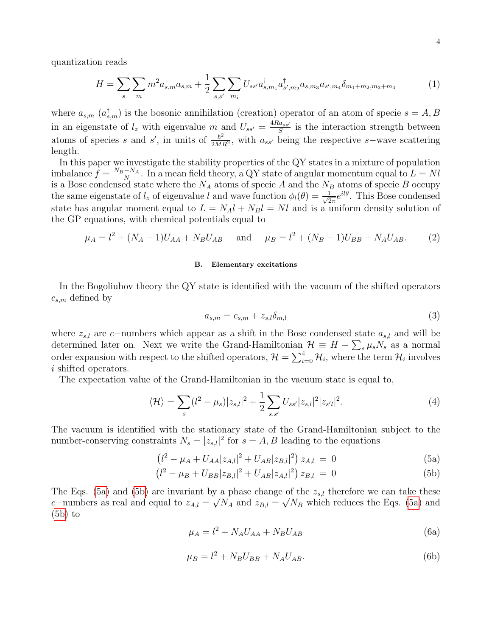quantization reads

$$
H = \sum_{s} \sum_{m} m^{2} a_{s,m}^{\dagger} a_{s,m} + \frac{1}{2} \sum_{s,s'} \sum_{m_i} U_{ss'} a_{s,m_1}^{\dagger} a_{s',m_2}^{\dagger} a_{s,m_3} a_{s',m_4} \delta_{m_1+m_2,m_3+m_4}
$$
 (1)

where  $a_{s,m}$   $(a_{s,m}^{\dagger})$  is the bosonic annihilation (creation) operator of an atom of specie  $s = A, B$ in an eigenstate of  $l_z$  with eigenvalue m and  $U_{ss'} = \frac{4Ra_{ss'}}{S}$  $\frac{a_{ss'}}{S}$  is the interaction strength between atoms of species s and s', in units of  $\frac{\hbar^2}{2M}$  $\frac{\hbar^2}{2MR^2}$ , with  $a_{ss'}$  being the respective s–wave scattering length.

In this paper we investigate the stability properties of the QY states in a mixture of population imbalance  $f = \frac{N_B - N_A}{N}$  $\frac{-N_A}{N}$ . In a mean field theory, a QY state of angular momentum equal to  $L = Nl$ is a Bose condensed state where the  $N_A$  atoms of specie A and the  $N_B$  atoms of specie B occupy the same eigenstate of  $l_z$  of eigenvalue l and wave function  $\phi_l(\theta) = \frac{1}{\sqrt{2}}$  $\frac{1}{2\pi}e^{il\theta}$ . This Bose condensed state has angular moment equal to  $L = N_A l + N_B l = N l$  and is a uniform density solution of the GP equations, with chemical potentials equal to

$$
\mu_A = l^2 + (N_A - 1)U_{AA} + N_B U_{AB}
$$
 and  $\mu_B = l^2 + (N_B - 1)U_{BB} + N_A U_{AB}.$  (2)

### B. Elementary excitations

In the Bogoliubov theory the QY state is identified with the vacuum of the shifted operators  $c_{s,m}$  defined by

$$
a_{s,m} = c_{s,m} + z_{s,l} \delta_{m,l} \tag{3}
$$

where  $z_{s,l}$  are c−numbers which appear as a shift in the Bose condensed state  $a_{s,l}$  and will be determined later on. Next we write the Grand-Hamiltonian  $\mathcal{H} \equiv H - \sum_{s} \mu_{s} N_{s}$  as a normal order expansion with respect to the shifted operators,  $\mathcal{H} = \sum_{i=0}^{4} \mathcal{H}_i$ , where the term  $\mathcal{H}_i$  involves i shifted operators.

The expectation value of the Grand-Hamiltonian in the vacuum state is equal to,

$$
\langle \mathcal{H} \rangle = \sum_{s} (l^2 - \mu_s) |z_{s,l}|^2 + \frac{1}{2} \sum_{s,s'} U_{ss'} |z_{s,l}|^2 |z_{s'l}|^2. \tag{4}
$$

The vacuum is identified with the stationary state of the Grand-Hamiltonian subject to the number-conserving constraints  $N_s = |z_{s,l}|^2$  for  $s = A, B$  leading to the equations

<span id="page-3-0"></span>
$$
(l^2 - \mu_A + U_{AA} |z_{A,l}|^2 + U_{AB} |z_{B,l}|^2) z_{A,l} = 0
$$
\n(5a)

$$
(l^2 - \mu_B + U_{BB} |z_{B,l}|^2 + U_{AB} |z_{A,l}|^2) z_{B,l} = 0
$$
 (5b)

The Eqs. [\(5a\)](#page-3-0) and [\(5b\)](#page-3-0) are invariant by a phase change of the  $z_{s,l}$  therefore we can take these c−numbers as real and equal to  $z_{A,l} = \sqrt{N_A}$  and  $z_{B,l} = \sqrt{N_B}$  which reduces the Eqs. [\(5a\)](#page-3-0) and  $(5b)$  to

$$
\mu_A = l^2 + N_A U_{AA} + N_B U_{AB} \tag{6a}
$$

$$
\mu_B = l^2 + N_B U_{BB} + N_A U_{AB}.\tag{6b}
$$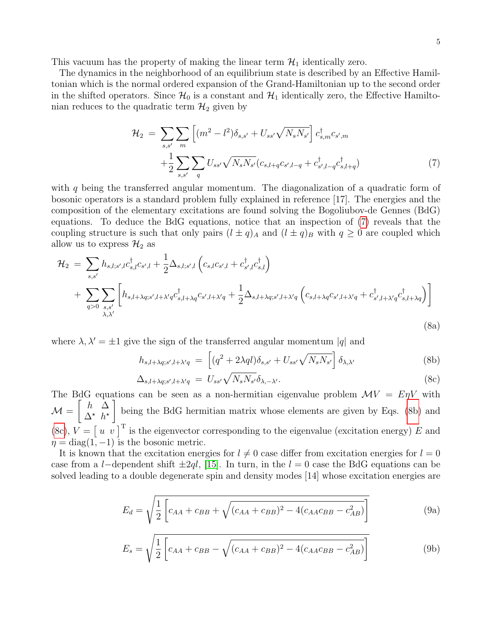This vacuum has the property of making the linear term  $\mathcal{H}_1$  identically zero.

The dynamics in the neighborhood of an equilibrium state is described by an Effective Hamiltonian which is the normal ordered expansion of the Grand-Hamiltonian up to the second order in the shifted operators. Since  $\mathcal{H}_0$  is a constant and  $\mathcal{H}_1$  identically zero, the Effective Hamiltonian reduces to the quadratic term  $\mathcal{H}_2$  given by

<span id="page-4-0"></span>
$$
\mathcal{H}_2 = \sum_{s,s'} \sum_m \left[ (m^2 - l^2) \delta_{s,s'} + U_{ss'} \sqrt{N_s N_{s'}} \right] c_{s,m}^{\dagger} c_{s',m} + \frac{1}{2} \sum_{s,s'} \sum_q U_{ss'} \sqrt{N_s N_{s'}} (c_{s,l+q} c_{s',l-q} + c_{s',l-q}^{\dagger} c_{s,l+q}^{\dagger})
$$
\n(7)

with q being the transferred angular momentum. The diagonalization of a quadratic form of bosonic operators is a standard problem fully explained in reference [17]. The energies and the composition of the elementary excitations are found solving the Bogoliubov-de Gennes (BdG) equations. To deduce the BdG equations, notice that an inspection of [\(7\)](#page-4-0) reveals that the coupling structure is such that only pairs  $(l \pm q)_{A}$  and  $(l \pm q)_{B}$  with  $q \ge 0$  are coupled which allow us to express  $\mathcal{H}_2$  as

$$
\mathcal{H}_{2} = \sum_{s,s'} h_{s,l;s',l} c_{s,l}^{\dagger} c_{s',l} + \frac{1}{2} \Delta_{s,l;s',l} \left( c_{s,l} c_{s',l} + c_{s',l}^{\dagger} c_{s,l}^{\dagger} \right)
$$
  
+ 
$$
\sum_{q>0} \sum_{s,s'} \left[ h_{s,l+\lambda q;s',l+\lambda'q} c_{s,l+\lambda q}^{\dagger} c_{s',l+\lambda'q} + \frac{1}{2} \Delta_{s,l+\lambda q;s',l+\lambda'q} \left( c_{s,l+\lambda q} c_{s',l+\lambda'q} + c_{s',l+\lambda'q}^{\dagger} c_{s,l+\lambda q}^{\dagger} \right) \right]
$$
(8a)

where  $\lambda, \lambda' = \pm 1$  give the sign of the transferred angular momentum |q| and

<span id="page-4-1"></span>
$$
h_{s,l+\lambda q;s',l+\lambda'q} = \left[ (q^2 + 2\lambda q l) \delta_{s,s'} + U_{ss'} \sqrt{N_s N_{s'}} \right] \delta_{\lambda,\lambda'} \tag{8b}
$$

$$
\Delta_{s,l+\lambda q;s',l+\lambda'q} = U_{ss'}\sqrt{N_s N_{s'}}\delta_{\lambda,-\lambda'}.
$$
\n(8c)

The BdG equations can be seen as a non-hermitian eigenvalue problem  $\mathcal{M}V = E\eta V$  with  $\mathcal{M} =$  $\begin{bmatrix} h & \Delta \end{bmatrix}$  $\Delta^*$   $h^*$ 1 being the BdG hermitian matrix whose elements are given by Eqs. [\(8b\)](#page-4-1) and [\(8c\)](#page-4-1),  $V = \begin{bmatrix} u & v \end{bmatrix}^T$  is the eigenvector corresponding to the eigenvalue (excitation energy) E and  $\eta = \text{diag}(1, -1)$  is the bosonic metric.

It is known that the excitation energies for  $l \neq 0$  case differ from excitation energies for  $l = 0$ case from a l−dependent shift  $\pm 2ql$ , [\[15\]](#page-15-8). In turn, in the l = 0 case the BdG equations can be solved leading to a double degenerate spin and density modes [14] whose excitation energies are

<span id="page-4-2"></span>
$$
E_d = \sqrt{\frac{1}{2} \left[ c_{AA} + c_{BB} + \sqrt{(c_{AA} + c_{BB})^2 - 4(c_{AA}c_{BB} - c_{AB}^2)} \right]}
$$
(9a)

<span id="page-4-3"></span>
$$
E_s = \sqrt{\frac{1}{2} \left[ c_{AA} + c_{BB} - \sqrt{(c_{AA} + c_{BB})^2 - 4(c_{AA}c_{BB} - c_{AB}^2)} \right]}
$$
(9b)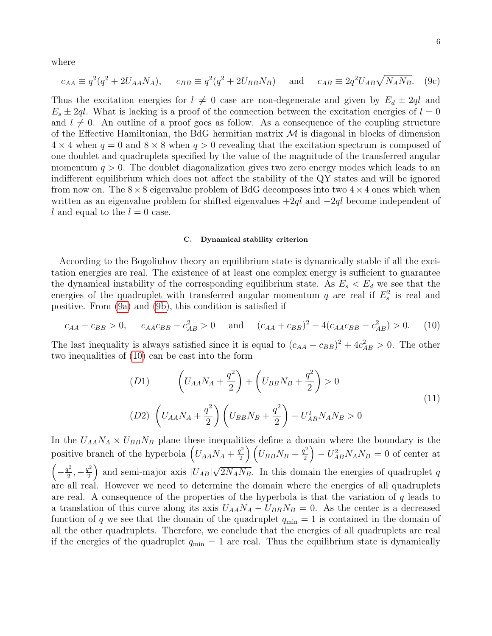where

$$
c_{AA} \equiv q^2(q^2 + 2U_{AA}N_A),
$$
  $c_{BB} \equiv q^2(q^2 + 2U_{BB}N_B)$  and  $c_{AB} \equiv 2q^2U_{AB}\sqrt{N_AN_B}.$  (9c)

Thus the excitation energies for  $l \neq 0$  case are non-degenerate and given by  $E_d \pm 2ql$  and  $E_s \pm 2ql$ . What is lacking is a proof of the connection between the excitation energies of  $l = 0$ and  $l \neq 0$ . An outline of a proof goes as follow. As a consequence of the coupling structure of the Effective Hamiltonian, the BdG hermitian matrix  $\mathcal M$  is diagonal in blocks of dimension  $4 \times 4$  when  $q = 0$  and  $8 \times 8$  when  $q > 0$  revealing that the excitation spectrum is composed of one doublet and quadruplets specified by the value of the magnitude of the transferred angular momentum  $q > 0$ . The doublet diagonalization gives two zero energy modes which leads to an indifferent equilibrium which does not affect the stability of the QY states and will be ignored from now on. The  $8\times 8$  eigenvalue problem of BdG decomposes into two  $4\times 4$  ones which when written as an eigenvalue problem for shifted eigenvalues  $+2ql$  and  $-2ql$  become independent of l and equal to the  $l = 0$  case.

# C. Dynamical stability criterion

According to the Bogoliubov theory an equilibrium state is dynamically stable if all the excitation energies are real. The existence of at least one complex energy is sufficient to guarantee the dynamical instability of the corresponding equilibrium state. As  $E_s < E_d$  we see that the energies of the quadruplet with transferred angular momentum  $q$  are real if  $E_s^2$  is real and positive. From [\(9a\)](#page-4-2) and [\(9b\)](#page-4-3), this condition is satisfied if

<span id="page-5-0"></span>
$$
c_{AA} + c_{BB} > 0, \qquad c_{AA}c_{BB} - c_{AB}^2 > 0 \qquad \text{and} \qquad (c_{AA} + c_{BB})^2 - 4(c_{AA}c_{BB} - c_{AB}^2) > 0. \tag{10}
$$

The last inequality is always satisfied since it is equal to  $(c_{AA} - c_{BB})^2 + 4c_{AB}^2 > 0$ . The other two inequalities of [\(10\)](#page-5-0) can be cast into the form

(D1) 
$$
\left(U_{AA}N_A + \frac{q^2}{2}\right) + \left(U_{BB}N_B + \frac{q^2}{2}\right) > 0
$$
  
(D2) 
$$
\left(U_{AA}N_A + \frac{q^2}{2}\right)\left(U_{BB}N_B + \frac{q^2}{2}\right) - U_{AB}^2N_AN_B > 0
$$
 (11)

In the  $U_{AA}N_A \times U_{BB}N_B$  plane these inequalities define a domain where the boundary is the positive branch of the hyperbola  $\left(U_{AA}N_A + \frac{q^2}{2}\right)$  $\left(U_{BB}N_{B}+\frac{q^{2}}{2}\right)$   $\left(U_{BB}N_{B}+\frac{q^{2}}{2}\right)$  $\left(\frac{q^2}{2}\right) - U_{AB}^2 N_A N_B = 0$  of center at  $\left(-\frac{q^2}{2}\right)$  $\frac{q^2}{2}, -\frac{q^2}{2}$  $\left(\frac{q^2}{2}\right)$  and semi-major axis  $|U_{AB}|$ √  $2N_AN_B$ . In this domain the energies of quadruplet q are all real. However we need to determine the domain where the energies of all quadruplets are real. A consequence of the properties of the hyperbola is that the variation of  $q$  leads to a translation of this curve along its axis  $U_{AA}N_A - U_{BB}N_B = 0$ . As the center is a decreased function of q we see that the domain of the quadruplet  $q_{min} = 1$  is contained in the domain of all the other quadruplets. Therefore, we conclude that the energies of all quadruplets are real if the energies of the quadruplet  $q_{\min} = 1$  are real. Thus the equilibrium state is dynamically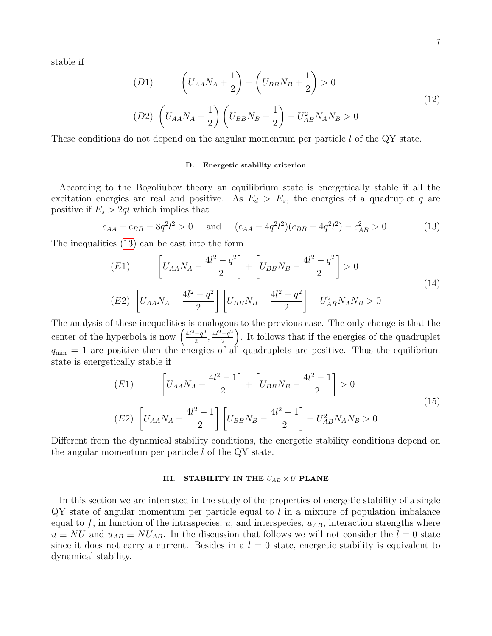stable if

<span id="page-6-2"></span>(D1) 
$$
\left(U_{AA}N_A + \frac{1}{2}\right) + \left(U_{BB}N_B + \frac{1}{2}\right) > 0
$$
  
(D2) 
$$
\left(U_{AA}N_A + \frac{1}{2}\right)\left(U_{BB}N_B + \frac{1}{2}\right) - U_{AB}^2N_AN_B > 0
$$
 (12)

These conditions do not depend on the angular momentum per particle l of the QY state.

# D. Energetic stability criterion

According to the Bogoliubov theory an equilibrium state is energetically stable if all the excitation energies are real and positive. As  $E_d > E_s$ , the energies of a quadruplet q are positive if  $E_s > 2ql$  which implies that

<span id="page-6-0"></span>
$$
c_{AA} + c_{BB} - 8q^2 l^2 > 0 \quad \text{and} \quad (c_{AA} - 4q^2 l^2)(c_{BB} - 4q^2 l^2) - c_{AB}^2 > 0. \tag{13}
$$

The inequalities [\(13\)](#page-6-0) can be cast into the form

(E1) 
$$
\left[U_{AA}N_A - \frac{4l^2 - q^2}{2}\right] + \left[U_{BB}N_B - \frac{4l^2 - q^2}{2}\right] > 0
$$
  
(E2) 
$$
\left[U_{AA}N_A - \frac{4l^2 - q^2}{2}\right] \left[U_{BB}N_B - \frac{4l^2 - q^2}{2}\right] - U_{AB}^2N_AN_B > 0
$$
 (14)

The analysis of these inequalities is analogous to the previous case. The only change is that the center of the hyperbola is now  $\left(\frac{4l^2-q^2}{2}\right)$  $\frac{-q^2}{2}, \frac{4l^2-q^2}{2}$  $\left(\frac{-q^2}{2}\right)$ . It follows that if the energies of the quadruplet  $q_{\min} = 1$  are positive then the energies of all quadruplets are positive. Thus the equilibrium state is energetically stable if

<span id="page-6-1"></span>(E1) 
$$
\left[U_{AA}N_A - \frac{4l^2 - 1}{2}\right] + \left[U_{BB}N_B - \frac{4l^2 - 1}{2}\right] > 0
$$
  
(E2) 
$$
\left[U_{AA}N_A - \frac{4l^2 - 1}{2}\right] \left[U_{BB}N_B - \frac{4l^2 - 1}{2}\right] - U_{AB}^2 N_A N_B > 0
$$
 (15)

Different from the dynamical stability conditions, the energetic stability conditions depend on the angular momentum per particle  $l$  of the QY state.

## III. STABILITY IN THE  $U_{AB} \times U$  PLANE

In this section we are interested in the study of the properties of energetic stability of a single  $\mathbb{Q}Y$  state of angular momentum per particle equal to l in a mixture of population imbalance equal to f, in function of the intraspecies, u, and interspecies,  $u_{AB}$ , interaction strengths where  $u \equiv NU$  and  $u_{AB} \equiv NU_{AB}$ . In the discussion that follows we will not consider the  $l = 0$  state since it does not carry a current. Besides in a  $l = 0$  state, energetic stability is equivalent to dynamical stability.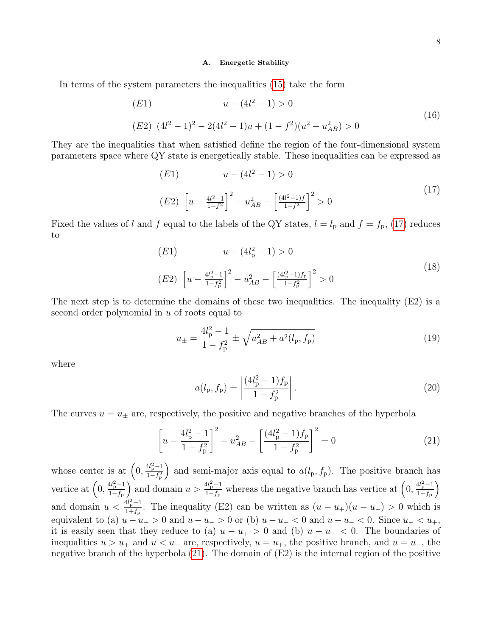### A. Energetic Stability

In terms of the system parameters the inequalities [\(15\)](#page-6-1) take the form

(E1) 
$$
u - (4l^2 - 1) > 0
$$
  
\n(E2)  $(4l^2 - 1)^2 - 2(4l^2 - 1)u + (1 - f^2)(u^2 - u_{AB}^2) > 0$  (16)

They are the inequalities that when satisfied define the region of the four-dimensional system parameters space where QY state is energetically stable. These inequalities can be expressed as

<span id="page-7-0"></span>(E1) 
$$
u - (4l^2 - 1) > 0
$$
  
\n(E2)  $\left[ u - \frac{4l^2 - 1}{1 - f^2} \right]^2 - u_{AB}^2 - \left[ \frac{(4l^2 - 1)f}{1 - f^2} \right]^2 > 0$  (17)

Fixed the values of l and f equal to the labels of the QY states,  $l = l_p$  and  $f = f_p$ , [\(17\)](#page-7-0) reduces to

(E1) 
$$
u - (4l_p^2 - 1) > 0
$$
  
\n(E2)  $\left[ u - \frac{4l_p^2 - 1}{1 - f_p^2} \right]^2 - u_{AB}^2 - \left[ \frac{(4l_p^2 - 1)f_p}{1 - f_p^2} \right]^2 > 0$  (18)

The next step is to determine the domains of these two inequalities. The inequality  $(E2)$  is a second order polynomial in  $u$  of roots equal to

<span id="page-7-2"></span>
$$
u_{\pm} = \frac{4l_{\rm p}^2 - 1}{1 - f_{\rm p}^2} \pm \sqrt{u_{AB}^2 + a^2(l_{\rm p}, f_{\rm p})}
$$
(19)

where

$$
a(l_{\rm p}, f_{\rm p}) = \left| \frac{(4l_{\rm p}^2 - 1)f_{\rm p}}{1 - f_{\rm p}^2} \right|.
$$
 (20)

The curves  $u = u_{\pm}$  are, respectively, the positive and negative branches of the hyperbola

<span id="page-7-1"></span>
$$
\left[u - \frac{4l_{\rm p}^2 - 1}{1 - f_{\rm p}^2}\right]^2 - u_{AB}^2 - \left[\frac{(4l_{\rm p}^2 - 1)f_{\rm p}}{1 - f_{\rm p}^2}\right]^2 = 0\tag{21}
$$

whose center is at  $\left(0, \frac{4l_{\rm p}^2-1}{1-t^2}\right)$  $1-f_{\rm p}^2$ ) and semi-major axis equal to  $a(l_p, f_p)$ . The positive branch has vertice at  $\left(0, \frac{4l_{\rm p}^2-1}{1-t}\right)$  $1-f_p$ ) and domain  $u > \frac{4l_p^2 - 1}{1 - f}$  $\frac{4l_p^2-1}{1-f_p}$  whereas the negative branch has vertice at  $\left(0, \frac{4l_p^2-1}{1+f_p}\right)$  $1+f_{\rm p}$  $\setminus$ and domain  $u < \frac{4l_p^2 - 1}{1 + f}$  $\frac{u_{p}-1}{1+f_{p}}$ . The inequality (E2) can be written as  $(u-u_{+})(u-u_{-}) > 0$  which is equivalent to (a)  $u - u_{+} > 0$  and  $u - u_{-} > 0$  or (b)  $u - u_{+} < 0$  and  $u - u_{-} < 0$ . Since  $u_{-} < u_{+}$ , it is easily seen that they reduce to (a)  $u - u_{+} > 0$  and (b)  $u - u_{-} < 0$ . The boundaries of inequalities  $u > u_+$  and  $u < u_-$  are, respectively,  $u = u_+$ , the positive branch, and  $u = u_-$ , the negative branch of the hyperbola [\(21\)](#page-7-1). The domain of (E2) is the internal region of the positive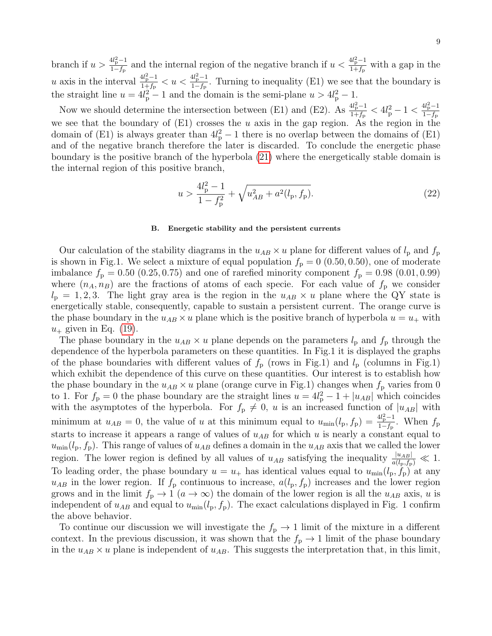branch if  $u > \frac{4l_p^2 - 1}{1 - f}$  $\frac{4l_p^2-1}{1-f_p}$  and the internal region of the negative branch if  $u < \frac{4l_p^2-1}{1+f_p}$  $\frac{^{44}\text{p}^{-1}}{1+f_\text{p}}$  with a gap in the u axis in the interval  $\frac{4l_{\rm p}^2-1}{1+t}$  $\frac{4l_{\rm p}^2-1}{1+f_{\rm p}} < u < \frac{4l_{\rm p}^2-1}{1-f_{\rm p}}$  $\frac{u_{p}-1}{1-f_{p}}$ . Turning to inequality (E1) we see that the boundary is the straight line  $u = 4l_p^2 - 1$  and the domain is the semi-plane  $u > 4l_p^2 - 1$ .

Now we should determine the intersection between (E1) and (E2). As  $\frac{4l_p^2-1}{1+f}$  $\frac{4l_{\rm p}^2-1}{1+f_{\rm p}} < 4l_{\rm p}^2-1 < \frac{4l_{\rm p}^2-1}{1-f_{\rm p}}$  $1-f_{\rm p}$ we see that the boundary of  $(E1)$  crosses the u axis in the gap region. As the region in the domain of (E1) is always greater than  $4l_p^2-1$  there is no overlap between the domains of (E1) and of the negative branch therefore the later is discarded. To conclude the energetic phase boundary is the positive branch of the hyperbola [\(21\)](#page-7-1) where the energetically stable domain is the internal region of this positive branch,

$$
u > \frac{4l_p^2 - 1}{1 - f_p^2} + \sqrt{u_{AB}^2 + a^2(l_p, f_p)}.
$$
\n(22)

### B. Energetic stability and the persistent currents

Our calculation of the stability diagrams in the  $u_{AB} \times u$  plane for different values of  $l_p$  and  $f_p$ is shown in Fig.1. We select a mixture of equal population  $f<sub>p</sub> = 0$  (0.50, 0.50), one of moderate imbalance  $f_{\rm p} = 0.50$  (0.25, 0.75) and one of rarefied minority component  $f_{\rm p} = 0.98$  (0.01, 0.99) where  $(n_A, n_B)$  are the fractions of atoms of each specie. For each value of  $f_p$  we consider  $l_p = 1, 2, 3$ . The light gray area is the region in the  $u_{AB} \times u$  plane where the QY state is energetically stable, consequently, capable to sustain a persistent current. The orange curve is the phase boundary in the  $u_{AB} \times u$  plane which is the positive branch of hyperbola  $u = u_+$  with  $u_+$  given in Eq. [\(19\)](#page-7-2).

The phase boundary in the  $u_{AB} \times u$  plane depends on the parameters  $l_p$  and  $f_p$  through the dependence of the hyperbola parameters on these quantities. In Fig.1 it is displayed the graphs of the phase boundaries with different values of  $f_p$  (rows in Fig.1) and  $l_p$  (columns in Fig.1) which exhibit the dependence of this curve on these quantities. Our interest is to establish how the phase boundary in the  $u_{AB} \times u$  plane (orange curve in Fig.1) changes when  $f<sub>p</sub>$  varies from 0 to 1. For  $f_{\rm p} = 0$  the phase boundary are the straight lines  $u = 4l_{\rm p}^2 - 1 + |u_{AB}|$  which coincides with the asymptotes of the hyperbola. For  $f_p \neq 0$ , u is an increased function of  $|u_{AB}|$  with minimum at  $u_{AB} = 0$ , the value of u at this minimum equal to  $u_{\min}(l_p, f_p) = \frac{4l_p^2 - 1}{1 - f_p}$  $\frac{H_{\rm p}-1}{1-f_{\rm p}}$ . When  $f_{\rm p}$ starts to increase it appears a range of values of  $u_{AB}$  for which u is nearly a constant equal to  $u_{\text{min}}(l_{p}, f_{p})$ . This range of values of  $u_{AB}$  defines a domain in the  $u_{AB}$  axis that we called the lower region. The lower region is defined by all values of  $u_{AB}$  satisfying the inequality  $\frac{|u_{AB}|}{a(l_p,f_p)} \ll 1$ . To leading order, the phase boundary  $u = u_+$  has identical values equal to  $u_{\min}(l_p, f_p)$  at any  $u_{AB}$  in the lower region. If  $f_{\rm p}$  continuous to increase,  $a(l_{\rm p}, f_{\rm p})$  increases and the lower region grows and in the limit  $f_{\rm p} \to 1$   $(a \to \infty)$  the domain of the lower region is all the  $u_{AB}$  axis, u is independent of  $u_{AB}$  and equal to  $u_{min}(l_p, f_p)$ . The exact calculations displayed in Fig. 1 confirm the above behavior.

To continue our discussion we will investigate the  $f_{\rm p} \rightarrow 1$  limit of the mixture in a different context. In the previous discussion, it was shown that the  $f_{\rm p} \rightarrow 1$  limit of the phase boundary in the  $u_{AB} \times u$  plane is independent of  $u_{AB}$ . This suggests the interpretation that, in this limit,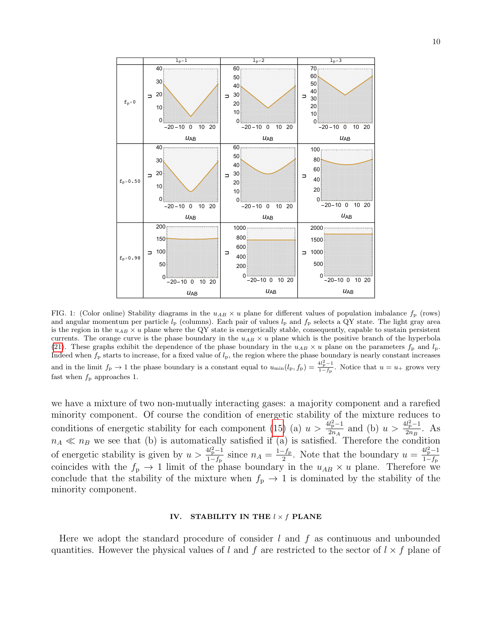

FIG. 1: (Color online) Stability diagrams in the  $u_{AB} \times u$  plane for different values of population imbalance  $f_{\rm p}$  (rows) and angular momentum per particle  $l_p$  (columns). Each pair of values  $l_p$  and  $f_p$  selects a QY state. The light gray area is the region in the  $u_{AB} \times u$  plane where the QY state is energetically stable, consequently, capable to sustain persistent currents. The orange curve is the phase boundary in the  $u_{AB} \times u$  plane which is the positive branch of the hyperbola [\(21\)](#page-7-1). These graphs exhibit the dependence of the phase boundary in the  $u_{AB} \times u$  plane on the parameters  $f_p$  and  $l_p$ . Indeed when  $f_p$  starts to increase, for a fixed value of  $l_p$ , the region where the phase boundary is nearly constant increases and in the limit  $f_{\rm p} \to 1$  the phase boundary is a constant equal to  $u_{\rm min}(l_{\rm p}, f_{\rm p}) = \frac{4l_p^2 - 1}{1 - f_{\rm p}}$ . Notice that  $u = u_+$  grows very fast when  $f_{\rm p}$  approaches 1.

we have a mixture of two non-mutually interacting gases: a majority component and a rarefied minority component. Of course the condition of energetic stability of the mixture reduces to conditions of energetic stability for each component [\(15\)](#page-6-1) (a)  $u > \frac{4l_p^2-1}{2n}$  $\frac{d_{\rm p}^2 - 1}{2n_A}$  and (b)  $u > \frac{4l_{\rm p}^2 - 1}{2n_B}$  $\frac{a_{p}-1}{2n_{B}}$ . As  $n_A \ll n_B$  we see that (b) is automatically satisfied if (a) is satisfied. Therefore the condition of energetic stability is given by  $u > \frac{4l_p^2 - 1}{1 - f}$  $\frac{4l_{\rm p}^2-1}{1-f_{\rm p}}$  since  $n_A = \frac{1-f_{\rm p}}{2}$  $\frac{-f_p}{2}$ . Note that the boundary  $u = \frac{4l_p^2 - 1}{1 - f_p}$  $1-f_p$ coincides with the  $f_{\rm p} \to 1$  limit of the phase boundary in the  $u_{AB} \times u$  plane. Therefore we conclude that the stability of the mixture when  $f_{\rm p} \rightarrow 1$  is dominated by the stability of the minority component.

# IV. STABILITY IN THE  $l \times f$  PLANE

Here we adopt the standard procedure of consider  $l$  and  $f$  as continuous and unbounded quantities. However the physical values of l and f are restricted to the sector of  $l \times f$  plane of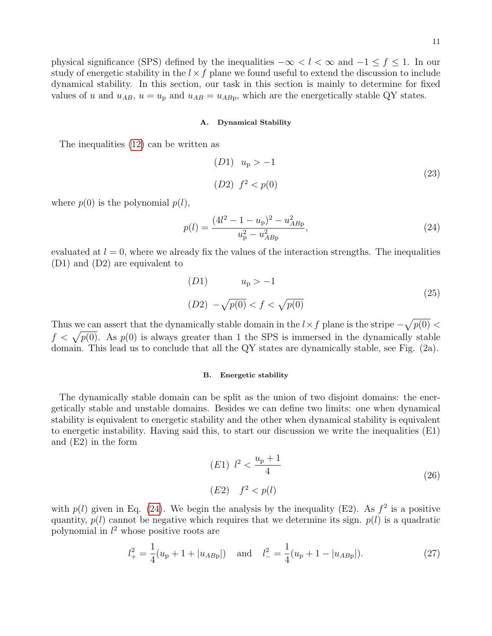physical significance (SPS) defined by the inequalities  $-\infty < l < \infty$  and  $-1 \le f \le 1$ . In our study of energetic stability in the  $l \times f$  plane we found useful to extend the discussion to include dynamical stability. In this section, our task in this section is mainly to determine for fixed values of u and  $u_{AB}$ ,  $u = u_{\rm p}$  and  $u_{AB} = u_{ABp}$ , which are the energetically stable QY states.

### A. Dynamical Stability

The inequalities [\(12\)](#page-6-2) can be written as

(D1) 
$$
u_p > -1
$$
  
(D2)  $f^2 < p(0)$  (23)

where  $p(0)$  is the polynomial  $p(l)$ ,

<span id="page-10-0"></span>
$$
p(l) = \frac{(4l^2 - 1 - u_{\rm p})^2 - u_{ABp}^2}{u_{\rm p}^2 - u_{ABp}^2},\tag{24}
$$

evaluated at  $l = 0$ , where we already fix the values of the interaction strengths. The inequalities (D1) and (D2) are equivalent to

(D1) 
$$
u_p > -1
$$
  
(D2)  $-\sqrt{p(0)} < f < \sqrt{p(0)}$  (25)

Thus we can assert that the dynamically stable domain in the  $l \times f$  plane is the stripe  $-\sqrt{p(0)}$  <  $f < \sqrt{p(0)}$ . As  $p(0)$  is always greater than 1 the SPS is immersed in the dynamically stable domain. This lead us to conclude that all the QY states are dynamically stable, see Fig. (2a).

### B. Energetic stability

The dynamically stable domain can be split as the union of two disjoint domains: the energetically stable and unstable domains. Besides we can define two limits: one when dynamical stability is equivalent to energetic stability and the other when dynamical stability is equivalent to energetic instability. Having said this, to start our discussion we write the inequalities (E1) and (E2) in the form

(E1) 
$$
l^2 < \frac{u_p + 1}{4}
$$
  
\n(E2)  $f^2 < p(l)$  (26)

with  $p(l)$  given in Eq. [\(24\)](#page-10-0). We begin the analysis by the inequality (E2). As  $f^2$  is a positive quantity,  $p(l)$  cannot be negative which requires that we determine its sign.  $p(l)$  is a quadratic polynomial in  $l^2$  whose positive roots are

$$
l_{+}^{2} = \frac{1}{4}(u_{\rm p} + 1 + |u_{AB\rm p}|) \quad \text{and} \quad l_{-}^{2} = \frac{1}{4}(u_{\rm p} + 1 - |u_{AB\rm p}|). \tag{27}
$$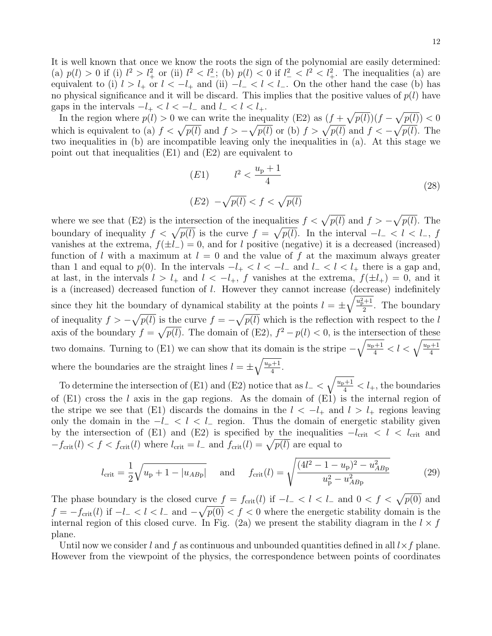It is well known that once we know the roots the sign of the polynomial are easily determined: (a)  $p(l) > 0$  if (i)  $l^2 > l^2_+$  or (ii)  $l^2 < l^2_-$ ; (b)  $p(l) < 0$  if  $l^2_- < l^2 < l^2_+$ . The inequalities (a) are equivalent to (i)  $l > l_+$  or  $l < -l_+$  and (ii)  $-l_- < l < l_-$ . On the other hand the case (b) has no physical significance and it will be discard. This implies that the positive values of  $p(l)$  have gaps in the intervals  $-l_{+} < l < -l_{-}$  and  $l_{-} < l < l_{+}$ .

In the region where  $p(l) > 0$  we can write the inequality (E2) as  $(f + \sqrt{p(l)})(f - \sqrt{p(l)}) < 0$ which is equivalent to (a)  $f < \sqrt{p(l)}$  and  $f > -\sqrt{p(l)}$  or (b)  $f > \sqrt{p(l)}$  and  $f < -\sqrt{p(l)}$ . The two inequalities in (b) are incompatible leaving only the inequalities in (a). At this stage we point out that inequalities (E1) and (E2) are equivalent to

(E1) 
$$
l^2 < \frac{u_p + 1}{4}
$$
  
\n(E2)  $-\sqrt{p(l)} < f < \sqrt{p(l)}$  (28)

where we see that (E2) is the intersection of the inequalities  $f < \sqrt{p(l)}$  and  $f > -\sqrt{p(l)}$ . The boundary of inequality  $f < \sqrt{p(l)}$  is the curve  $f = \sqrt{p(l)}$ . In the interval  $-l_- < l < l_, f$ vanishes at the extrema,  $f(\pm l_{-}) = 0$ , and for l positive (negative) it is a decreased (increased) function of l with a maximum at  $l = 0$  and the value of f at the maximum always greater than 1 and equal to  $p(0)$ . In the intervals  $-l_{+} < l < -l_{-}$  and  $l_{-} < l < l_{+}$  there is a gap and, at last, in the intervals  $l > l_+$  and  $l < -l_+$ , f vanishes at the extrema,  $f(\pm l_+) = 0$ , and it is a (increased) decreased function of l. However they cannot increase (decrease) indefinitely since they hit the boundary of dynamical stability at the points  $l = \pm \sqrt{\frac{u_{\rm P}^2 + 1}{2}}$  $\frac{1}{2}$ . The boundary of inequality  $f > -\sqrt{p(l)}$  is the curve  $f = -\sqrt{p(l)}$  which is the reflection with respect to the l axis of the boundary  $f = \sqrt{p(l)}$ . The domain of (E2),  $f^2 - p(l) < 0$ , is the intersection of these two domains. Turning to (E1) we can show that its domain is the stripe  $-\sqrt{\frac{u_{p}+1}{4}} < l < \sqrt{\frac{u_{p}+1}{4}}$ where the boundaries are the straight lines  $l = \pm \sqrt{\frac{u_{p}+1}{4}}$  $\frac{1}{4}$ .

To determine the intersection of (E1) and (E2) notice that as  $l_- < \sqrt{\frac{u_p+1}{4}} < l_+$ , the boundaries of  $(E1)$  cross the l axis in the gap regions. As the domain of  $(E1)$  is the internal region of the stripe we see that (E1) discards the domains in the  $l < -l_{+}$  and  $l > l_{+}$  regions leaving only the domain in the  $-l_-\lt l_+ \lt l_-\text{region}$ . Thus the domain of energetic stability given by the intersection of (E1) and (E2) is specified by the inequalities  $-l_{\text{crit}} < l < l_{\text{crit}}$  and  $-f_{\text{crit}}(l) < f < f_{\text{crit}}(l)$  where  $l_{\text{crit}} = l_{-}$  and  $f_{\text{crit}}(l) = \sqrt{p(l)}$  are equal to

$$
l_{\rm crit} = \frac{1}{2} \sqrt{u_{\rm p} + 1 - |u_{AB\rm p}|} \quad \text{and} \quad f_{\rm crit}(l) = \sqrt{\frac{(4l^2 - 1 - u_{\rm p})^2 - u_{AB\rm p}^2}{u_{\rm p}^2 - u_{AB\rm p}^2}} \tag{29}
$$

The phase boundary is the closed curve  $f = f_{\text{crit}}(l)$  if  $-l_- < l < l_-$  and  $0 < f < \sqrt{p(0)}$  and  $f = -f_{\text{crit}}(l)$  if  $-l_- < l < l_-$  and  $-\sqrt{p(0)} < f < 0$  where the energetic stability domain is the internal region of this closed curve. In Fig. (2a) we present the stability diagram in the  $l \times f$ plane.

Until now we consider l and f as continuous and unbounded quantities defined in all  $l \times f$  plane. However from the viewpoint of the physics, the correspondence between points of coordinates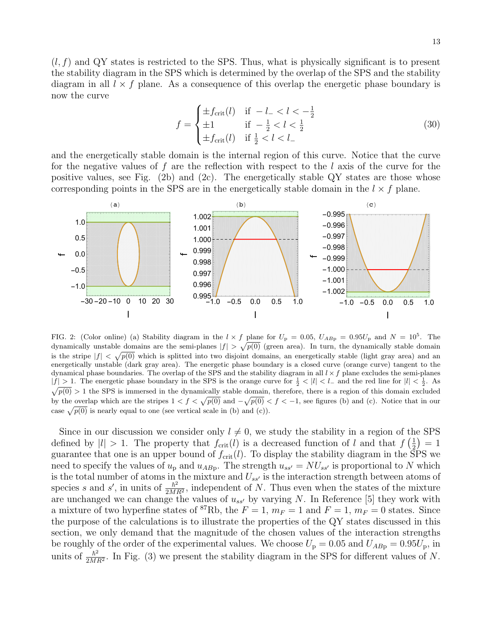$(l, f)$  and QY states is restricted to the SPS. Thus, what is physically significant is to present the stability diagram in the SPS which is determined by the overlap of the SPS and the stability diagram in all  $l \times f$  plane. As a consequence of this overlap the energetic phase boundary is now the curve

$$
f = \begin{cases} \pm f_{\text{crit}}(l) & \text{if } -l_- < l < -\frac{1}{2} \\ \pm 1 & \text{if } -\frac{1}{2} < l < \frac{1}{2} \\ \pm f_{\text{crit}}(l) & \text{if } \frac{1}{2} < l < l_- \end{cases} \tag{30}
$$

and the energetically stable domain is the internal region of this curve. Notice that the curve for the negative values of f are the reflection with respect to the l axis of the curve for the positive values, see Fig.  $(2b)$  and  $(2c)$ . The energetically stable QY states are those whose corresponding points in the SPS are in the energetically stable domain in the  $l \times f$  plane.



FIG. 2: (Color online) (a) Stability diagram in the  $l \times f$  plane for  $U_p = 0.05$ ,  $U_{ABp} = 0.95U_p$  and  $N = 10^5$ . The dynamically unstable domains are the semi-planes  $|f| > \sqrt{p(0)}$  (green area). In turn, the dynamically stable domain is the stripe  $|f| < \sqrt{p(0)}$  which is splitted into two disjoint domains, an energetically stable (light gray area) and an energetically unstable (dark gray area). The energetic phase boundary is a closed curve (orange curve) tangent to the dynamical phase boundaries. The overlap of the SPS and the stability diagram in all  $l \times f$  plane excludes the semi-planes  $|f| > 1$ . The energetic phase boundary in the SPS is the orange curve for  $\frac{1}{2}$  < |l| < l− and the red line for  $|l| < \frac{1}{2}$ . As  $\sqrt{p(0)} > 1$  the SPS is immersed in the dynamically stable domain, therefore, there is a region of this domain excluded by the overlap which are the stripes  $1 < f < \sqrt{p(0)}$  and  $-\sqrt{p(0)} < f < -1$ , see figures (b) and (c). Notice that in our case  $\sqrt{p(0)}$  is nearly equal to one (see vertical scale in (b) and (c)).

Since in our discussion we consider only  $l \neq 0$ , we study the stability in a region of the SPS defined by  $|l| > 1$ . The property that  $f_{\text{crit}}(l)$  is a decreased function of l and that  $f\left(\frac{1}{2}\right)$  $(\frac{1}{2}) = 1$ guarantee that one is an upper bound of  $f_{\rm crit}(l)$ . To display the stability diagram in the SPS we need to specify the values of  $u_p$  and  $u_{ABp}$ . The strength  $u_{ss'} = NU_{ss'}$  is proportional to N which is the total number of atoms in the mixture and  $U_{ss}$  is the interaction strength between atoms of species s and s', in units of  $\frac{\hbar^2}{2M}$  $\frac{\hbar^2}{2MR^2}$ , independent of N. Thus even when the states of the mixture are unchanged we can change the values of  $u_{ss'}$  by varying N. In Reference [5] they work with a mixture of two hyperfine states of <sup>87</sup>Rb, the  $F = 1$ ,  $m_F = 1$  and  $F = 1$ ,  $m_F = 0$  states. Since the purpose of the calculations is to illustrate the properties of the QY states discussed in this section, we only demand that the magnitude of the chosen values of the interaction strengths be roughly of the order of the experimental values. We choose  $U_{\rm p} = 0.05$  and  $U_{ABp} = 0.95 U_{\rm p}$ , in units of  $\frac{\hbar^2}{2M}$  $\frac{\hbar^2}{2MR^2}$ . In Fig. (3) we present the stability diagram in the SPS for different values of N.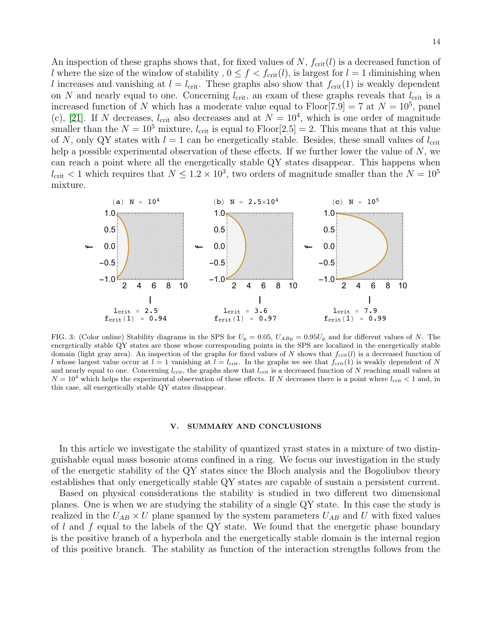An inspection of these graphs shows that, for fixed values of  $N$ ,  $f_{\rm crit}(l)$  is a decreased function of l where the size of the window of stability,  $0 \le f < f_{\rm crit}(l)$ , is largest for  $l = 1$  diminishing when l increases and vanishing at  $l = l_{\text{crit}}$ . These graphs also show that  $f_{\text{crit}}(1)$  is weakly dependent on N and nearly equal to one. Concerning  $l_{\rm crit}$ , an exam of these graphs reveals that  $l_{\rm crit}$  is a increased function of N which has a moderate value equal to  $Floor[7.9] = 7$  at  $N = 10^5$ , panel (c), [\[21\]](#page-15-13). If N decreases,  $l_{\text{crit}}$  also decreases and at  $N = 10^4$ , which is one order of magnitude smaller than the  $N = 10^5$  mixture,  $l_{\rm crit}$  is equal to Floor[2.5] = 2. This means that at this value of N, only QY states with  $l = 1$  can be energetically stable. Besides, these small values of  $l_{\rm crit}$ help a possible experimental observation of these effects. If we further lower the value of  $N$ , we can reach a point where all the energetically stable QY states disappear. This happens when  $l_{\text{crit}}$  < 1 which requires that  $N \leq 1.2 \times 10^3$ , two orders of magnitude smaller than the  $N = 10^5$ mixture.



FIG. 3: (Color online) Stability diagrams in the SPS for  $U_p = 0.05$ ,  $U_{ABp} = 0.95U_p$  and for different values of N. The energetically stable QY states are those whose corresponding points in the SPS are localized in the energetically stable domain (light gray area). An inspection of the graphs for fixed values of N shows that  $f_{\rm crit}(l)$  is a decreased function of l whose largest value occur at  $l = 1$  vanishing at  $l = l_{\text{crit}}$ . In the graphs we see that  $f_{\text{crit}}(1)$  is weakly dependent of N and nearly equal to one. Concerning  $l_{\rm crit}$ , the graphs show that  $l_{\rm crit}$  is a decreased function of N reaching small values at  $N = 10<sup>4</sup>$  which helps the experimental observation of these effects. If N decreases there is a point where  $l_{\rm crit} < 1$  and, in this case, all energetically stable QY states disappear.

### V. SUMMARY AND CONCLUSIONS

In this article we investigate the stability of quantized yrast states in a mixture of two distinguishable equal mass bosonic atoms confined in a ring. We focus our investigation in the study of the energetic stability of the QY states since the Bloch analysis and the Bogoliubov theory establishes that only energetically stable QY states are capable of sustain a persistent current.

Based on physical considerations the stability is studied in two different two dimensional planes. One is when we are studying the stability of a single QY state. In this case the study is realized in the  $U_{AB} \times U$  plane spanned by the system parameters  $U_{AB}$  and U with fixed values of  $l$  and  $f$  equal to the labels of the QY state. We found that the energetic phase boundary is the positive branch of a hyperbola and the energetically stable domain is the internal region of this positive branch. The stability as function of the interaction strengths follows from the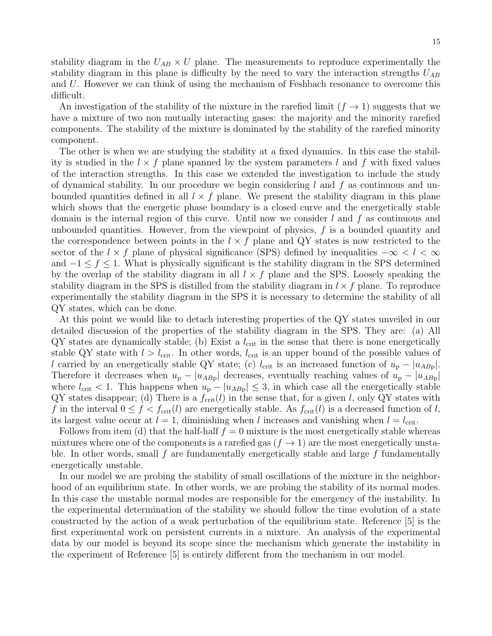difficult. An investigation of the stability of the mixture in the rarefied limit  $(f \to 1)$  suggests that we have a mixture of two non mutually interacting gases: the majority and the minority rarefied components. The stability of the mixture is dominated by the stability of the rarefied minority component.

The other is when we are studying the stability at a fixed dynamics. In this case the stability is studied in the  $l \times f$  plane spanned by the system parameters l and f with fixed values of the interaction strengths. In this case we extended the investigation to include the study of dynamical stability. In our procedure we begin considering  $l$  and  $f$  as continuous and unbounded quantities defined in all  $l \times f$  plane. We present the stability diagram in this plane which shows that the energetic phase boundary is a closed curve and the energetically stable domain is the internal region of this curve. Until now we consider  $l$  and  $f$  as continuous and unbounded quantities. However, from the viewpoint of physics, f is a bounded quantity and the correspondence between points in the  $l \times f$  plane and QY states is now restricted to the sector of the  $l \times f$  plane of physical significance (SPS) defined by inequalities  $-\infty < l < \infty$ and  $-1 \leq f \leq 1$ . What is physically significant is the stability diagram in the SPS determined by the overlap of the stability diagram in all  $l \times f$  plane and the SPS. Loosely speaking the stability diagram in the SPS is distilled from the stability diagram in  $l \times f$  plane. To reproduce experimentally the stability diagram in the SPS it is necessary to determine the stability of all QY states, which can be done.

At this point we would like to detach interesting properties of the QY states unveiled in our detailed discussion of the properties of the stability diagram in the SPS. They are: (a) All  $\mathbf{QY}$  states are dynamically stable; (b) Exist a  $l_{\rm crit}$  in the sense that there is none energetically stable QY state with  $l > l_{\text{crit}}$ . In other words,  $l_{\text{crit}}$  is an upper bound of the possible values of l carried by an energetically stable QY state; (c) l<sub>crit</sub> is an increased function of  $u_p - |u_{ABp}|$ . Therefore it decreases when  $u_{\rm p} - |u_{AB_{\rm p}}|$  decreases, eventually reaching values of  $u_{\rm p} - |u_{AB_{\rm p}}|$ where  $l_{\text{crit}} < 1$ . This happens when  $u_{\text{p}} - |u_{AB_{\text{p}}}| \leq 3$ , in which case all the energetically stable  $\mathbf{QY}$  states disappear; (d) There is a  $f_{\text{crit}}(l)$  in the sense that, for a given l, only  $\mathbf{QY}$  states with f in the interval  $0 \le f < f_{\rm crit}(l)$  are energetically stable. As  $f_{\rm crit}(l)$  is a decreased function of l, its largest value occur at  $l = 1$ , diminishing when l increases and vanishing when  $l = l_{\rm crit}$ .

Follows from item (d) that the half-half  $f = 0$  mixture is the most energetically stable whereas mixtures where one of the components is a rarefied gas  $(f \to 1)$  are the most energetically unstable. In other words, small  $f$  are fundamentally energetically stable and large  $f$  fundamentally energetically unstable.

In our model we are probing the stability of small oscillations of the mixture in the neighborhood of an equilibrium state. In other words, we are probing the stability of its normal modes. In this case the unstable normal modes are responsible for the emergency of the instability. In the experimental determination of the stability we should follow the time evolution of a state constructed by the action of a weak perturbation of the equilibrium state. Reference [5] is the first experimental work on persistent currents in a mixture. An analysis of the experimental data by our model is beyond its scope since the mechanism which generate the instability in the experiment of Reference [5] is entirely different from the mechanism in our model.